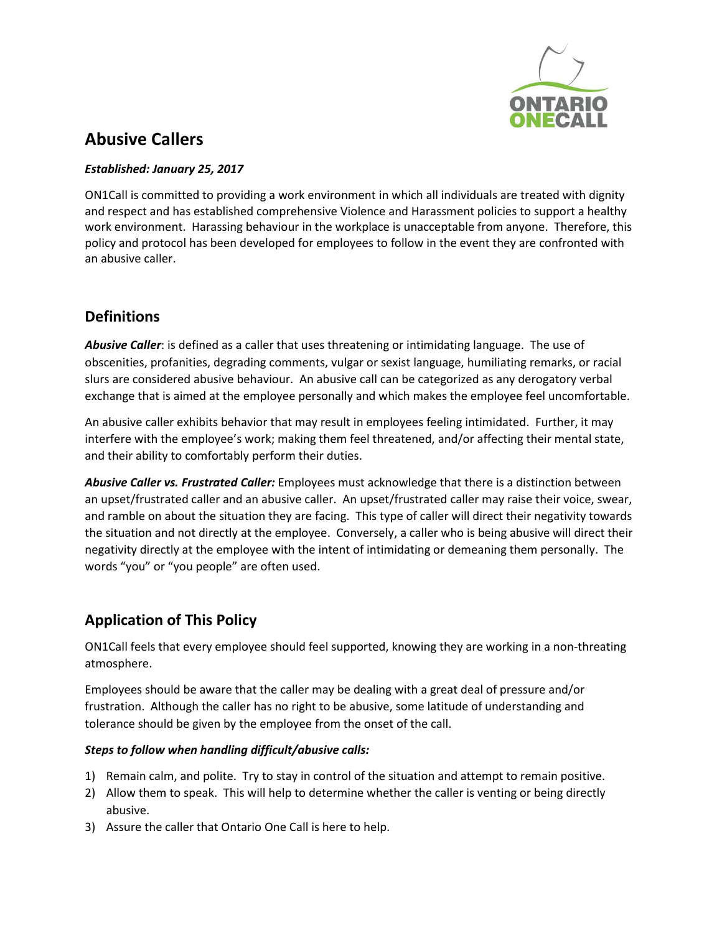

# **Abusive Callers**

#### *Established: January 25, 2017*

ON1Call is committed to providing a work environment in which all individuals are treated with dignity and respect and has established comprehensive Violence and Harassment policies to support a healthy work environment. Harassing behaviour in the workplace is unacceptable from anyone. Therefore, this policy and protocol has been developed for employees to follow in the event they are confronted with an abusive caller.

### **Definitions**

*Abusive Caller*: is defined as a caller that uses threatening or intimidating language. The use of obscenities, profanities, degrading comments, vulgar or sexist language, humiliating remarks, or racial slurs are considered abusive behaviour. An abusive call can be categorized as any derogatory verbal exchange that is aimed at the employee personally and which makes the employee feel uncomfortable.

An abusive caller exhibits behavior that may result in employees feeling intimidated. Further, it may interfere with the employee's work; making them feel threatened, and/or affecting their mental state, and their ability to comfortably perform their duties.

*Abusive Caller vs. Frustrated Caller:* Employees must acknowledge that there is a distinction between an upset/frustrated caller and an abusive caller. An upset/frustrated caller may raise their voice, swear, and ramble on about the situation they are facing. This type of caller will direct their negativity towards the situation and not directly at the employee. Conversely, a caller who is being abusive will direct their negativity directly at the employee with the intent of intimidating or demeaning them personally. The words "you" or "you people" are often used.

## **Application of This Policy**

ON1Call feels that every employee should feel supported, knowing they are working in a non-threating atmosphere.

Employees should be aware that the caller may be dealing with a great deal of pressure and/or frustration. Although the caller has no right to be abusive, some latitude of understanding and tolerance should be given by the employee from the onset of the call.

### *Steps to follow when handling difficult/abusive calls:*

- 1) Remain calm, and polite. Try to stay in control of the situation and attempt to remain positive.
- 2) Allow them to speak. This will help to determine whether the caller is venting or being directly abusive.
- 3) Assure the caller that Ontario One Call is here to help.